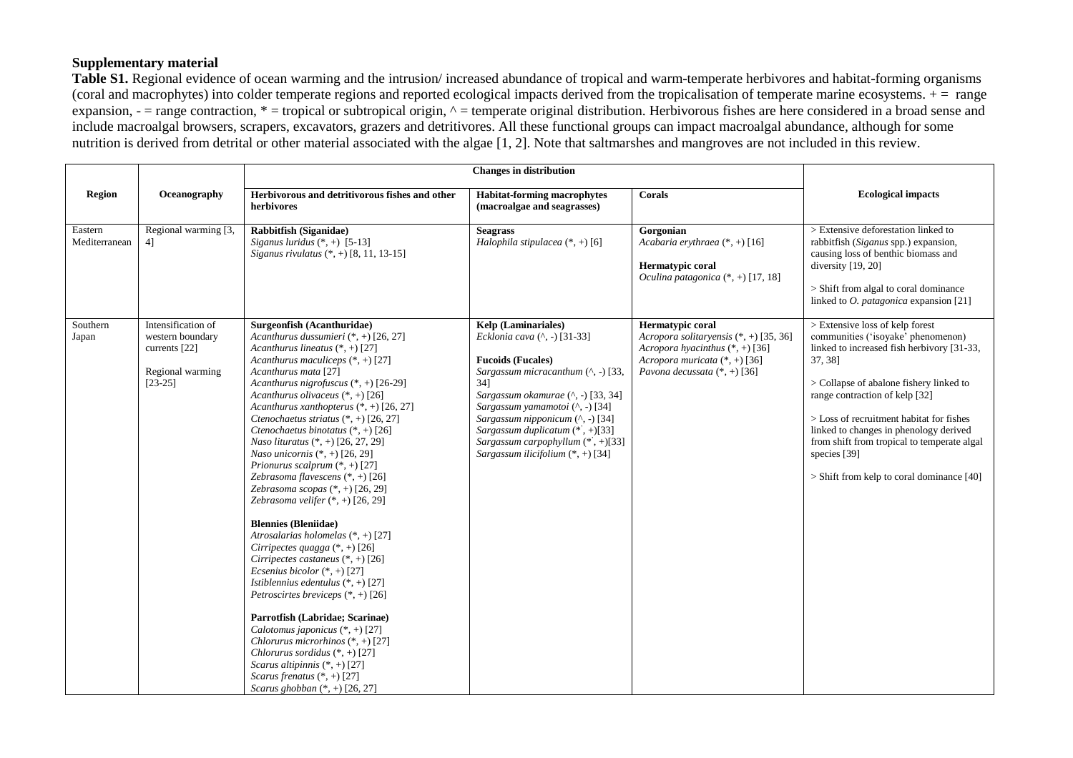## **Supplementary material**

**Table S1.** Regional evidence of ocean warming and the intrusion/ increased abundance of tropical and warm-temperate herbivores and habitat-forming organisms (coral and macrophytes) into colder temperate regions and reported ecological impacts derived from the tropicalisation of temperate marine ecosystems.  $+$  = range expansion,  $-$  = range contraction,  $*$  = tropical or subtropical origin,  $\wedge$  = temperate original distribution. Herbivorous fishes are here considered in a broad sense and include macroalgal browsers, scrapers, excavators, grazers and detritivores. All these functional groups can impact macroalgal abundance, although for some nutrition is derived from detrital or other material associated with the algae [\[1,](#page-4-0) [2\]](#page-4-1). Note that saltmarshes and mangroves are not included in this review.

|                          |                                                                                          | <b>Changes in distribution</b>                                                                                                                                                                                                                                                                                                                                                                                                                                                                                                                                                                                                                                                                                                                                                                                                                                                                                                                                                                                                                                                                                                               |                                                                                                                                                                                                                                                                                                                                                                    |                                                                                                                                                                    |                                                                                                                                                                                                                                                                                                                                                                                                                 |
|--------------------------|------------------------------------------------------------------------------------------|----------------------------------------------------------------------------------------------------------------------------------------------------------------------------------------------------------------------------------------------------------------------------------------------------------------------------------------------------------------------------------------------------------------------------------------------------------------------------------------------------------------------------------------------------------------------------------------------------------------------------------------------------------------------------------------------------------------------------------------------------------------------------------------------------------------------------------------------------------------------------------------------------------------------------------------------------------------------------------------------------------------------------------------------------------------------------------------------------------------------------------------------|--------------------------------------------------------------------------------------------------------------------------------------------------------------------------------------------------------------------------------------------------------------------------------------------------------------------------------------------------------------------|--------------------------------------------------------------------------------------------------------------------------------------------------------------------|-----------------------------------------------------------------------------------------------------------------------------------------------------------------------------------------------------------------------------------------------------------------------------------------------------------------------------------------------------------------------------------------------------------------|
| <b>Region</b>            | Oceanography                                                                             | Herbivorous and detritivorous fishes and other<br>herbivores                                                                                                                                                                                                                                                                                                                                                                                                                                                                                                                                                                                                                                                                                                                                                                                                                                                                                                                                                                                                                                                                                 | <b>Habitat-forming macrophytes</b><br>(macroalgae and seagrasses)                                                                                                                                                                                                                                                                                                  | Corals                                                                                                                                                             | <b>Ecological impacts</b>                                                                                                                                                                                                                                                                                                                                                                                       |
| Eastern<br>Mediterranean | Regional warming [3,<br>41                                                               | <b>Rabbitfish (Siganidae)</b><br>Siganus luridus $(*, +)$ [5-13]<br>Siganus rivulatus (*, +) [8, 11, 13-15]                                                                                                                                                                                                                                                                                                                                                                                                                                                                                                                                                                                                                                                                                                                                                                                                                                                                                                                                                                                                                                  | <b>Seagrass</b><br>Halophila stipulacea $(*,+)$ [6]                                                                                                                                                                                                                                                                                                                | Gorgonian<br>Acabaria erythraea (*, +) [16]<br>Hermatypic coral<br>Oculina patagonica $(*, +)$ [17, 18]                                                            | > Extensive deforestation linked to<br>rabbitfish (Siganus spp.) expansion,<br>causing loss of benthic biomass and<br>diversity [19, 20]<br>> Shift from algal to coral dominance<br>linked to $O.$ patagonica expansion [21]                                                                                                                                                                                   |
| Southern<br>Japan        | Intensification of<br>western boundary<br>currents [22]<br>Regional warming<br>$[23-25]$ | Surgeonfish (Acanthuridae)<br>Acanthurus dussumieri $(*, +)$ [26, 27]<br>Acanthurus lineatus $(*, +)$ [27]<br>Acanthurus maculiceps $(*, +)$ [27]<br>Acanthurus mata [27]<br>Acanthurus nigrofuscus $(*, +)$ [26-29]<br>Acanthurus olivaceus $(*, +)$ [26]<br>Acanthurus xanthopterus (*, +) [26, 27]<br>Ctenochaetus striatus (*, +) [26, 27]<br>Ctenochaetus binotatus $(*, +)$ [26]<br>Naso lituratus (*, +) [26, 27, 29]<br>Naso unicornis (*, +) [26, 29]<br>Prionurus scalprum (*, +) [27]<br>Zebrasoma flavescens $(*, +)$ [26]<br>Zebrasoma scopas (*, +) [26, 29]<br>Zebrasoma velifer $(*, +)$ [26, 29]<br><b>Blennies (Bleniidae)</b><br>Atrosalarias holomelas $(*, +)$ [27]<br>Cirripectes quagga $(*, +)$ [26]<br>Cirripectes castaneus $(*, +)$ [26]<br>Ecsenius bicolor $(*, +)$ [27]<br>Istiblennius edentulus (*, +) [27]<br>Petroscirtes breviceps $(*, +)$ [26]<br>Parrotfish (Labridae; Scarinae)<br>Calotomus japonicus $(*, +)$ [27]<br>Chlorurus microrhinos $(*, +)$ [27]<br>Chlorurus sordidus (*, +) [27]<br>Scarus altipinnis $(*, +)$ [27]<br>Scarus frenatus $(*, +)$ [27]<br>Scarus ghobban $(*, +)$ [26, 27] | Kelp (Laminariales)<br>Ecklonia cava (^, -) [31-33]<br><b>Fucoids (Fucales)</b><br>Sargassum micracanthum $(\wedge, -)$ [33,<br>34]<br>Sargassum okamurae (^, -) [33, 34]<br>Sargassum yamamotoi (^, -) [34]<br>Sargassum nipponicum $($ ^, -) [34]<br>Sargassum duplicatum (*, +)[33]<br>Sargassum carpophyllum (*, +)[33]<br>Sargassum ilicifolium $(*, +)$ [34] | Hermatypic coral<br>Acropora solitaryensis (*, +) [35, 36]<br>Acropora hyacinthus $(*, +)$ [36]<br>Acropora muricata (*, +) [36]<br>Pavona decussata $(*, +)$ [36] | > Extensive loss of kelp forest<br>communities ('isoyake' phenomenon)<br>linked to increased fish herbivory [31-33,<br>37, 38]<br>> Collapse of abalone fishery linked to<br>range contraction of kelp [32]<br>> Loss of recruitment habitat for fishes<br>linked to changes in phenology derived<br>from shift from tropical to temperate algal<br>species [39]<br>$>$ Shift from kelp to coral dominance [40] |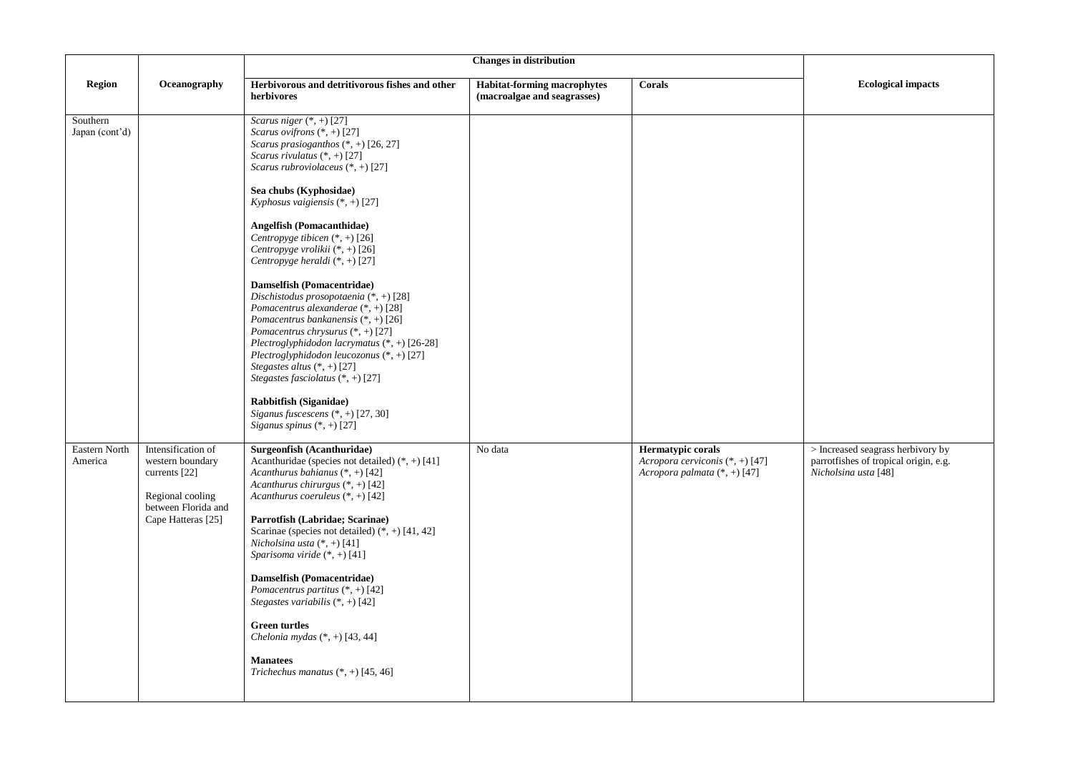|                            |                                                                                                                          | <b>Changes in distribution</b>                                                                                                                                                                                                                                                                                                                                                                                                                                                                                                                                                                                                                                                                                                                                                                                                                                         |                                                                   |                                                                                          |                                                                                                    |
|----------------------------|--------------------------------------------------------------------------------------------------------------------------|------------------------------------------------------------------------------------------------------------------------------------------------------------------------------------------------------------------------------------------------------------------------------------------------------------------------------------------------------------------------------------------------------------------------------------------------------------------------------------------------------------------------------------------------------------------------------------------------------------------------------------------------------------------------------------------------------------------------------------------------------------------------------------------------------------------------------------------------------------------------|-------------------------------------------------------------------|------------------------------------------------------------------------------------------|----------------------------------------------------------------------------------------------------|
| <b>Region</b>              | Oceanography                                                                                                             | Herbivorous and detritivorous fishes and other<br>herbivores                                                                                                                                                                                                                                                                                                                                                                                                                                                                                                                                                                                                                                                                                                                                                                                                           | <b>Habitat-forming macrophytes</b><br>(macroalgae and seagrasses) | Corals                                                                                   | <b>Ecological impacts</b>                                                                          |
| Southern<br>Japan (cont'd) |                                                                                                                          | Scarus niger $(*, +)$ [27]<br>Scarus ovifrons (*, +) [27]<br>Scarus prasioganthos $(*, +)$ [26, 27]<br>Scarus rivulatus $(*, +)$ [27]<br>Scarus rubroviolaceus $(*, +)$ [27]<br>Sea chubs (Kyphosidae)<br>Kyphosus vaigiensis $(*, +)$ [27]<br><b>Angelfish (Pomacanthidae)</b><br>Centropyge tibicen $(*, +)$ [26]<br>Centropyge vrolikii $(*, +)$ [26]<br>Centropyge heraldi $(*, +)$ [27]<br>Damselfish (Pomacentridae)<br>Dischistodus prosopotaenia $(*, +)$ [28]<br>Pomacentrus alexanderae (*, +) [28]<br>Pomacentrus bankanensis $(*, +)$ [26]<br>Pomacentrus chrysurus $(*, +)$ [27]<br>Plectroglyphidodon lacrymatus (*, +) [26-28]<br>Plectroglyphidodon leucozonus $(*, +)$ [27]<br>Stegastes altus $(*, +)$ [27]<br>Stegastes fasciolatus $(*, +)$ [27]<br>Rabbitfish (Siganidae)<br>Siganus fuscescens $(*, +)$ [27, 30]<br>Siganus spinus $(*, +)$ [27] |                                                                   |                                                                                          |                                                                                                    |
| Eastern North<br>America   | Intensification of<br>western boundary<br>currents [22]<br>Regional cooling<br>between Florida and<br>Cape Hatteras [25] | Surgeonfish (Acanthuridae)<br>Acanthuridae (species not detailed) $(*, +)$ [41]<br>Acanthurus bahianus $(*, +)$ [42]<br>Acanthurus chirurgus $(*, +)$ [42]<br>Acanthurus coeruleus $(*, +)$ [42]<br>Parrotfish (Labridae; Scarinae)<br>Scarinae (species not detailed) $(*, +)$ [41, 42]<br>Nicholsina usta (*, +) [41]<br>Sparisoma viride $(*, +)$ [41]<br>Damselfish (Pomacentridae)<br>Pomacentrus partitus $(*, +)$ [42]<br>Stegastes variabilis (*, +) [42]<br><b>Green turtles</b><br>Chelonia mydas $(*, +)$ [43, 44]<br><b>Manatees</b><br>Trichechus manatus $(*, +)$ [45, 46]                                                                                                                                                                                                                                                                               | No data                                                           | Hermatypic corals<br>Acropora cerviconis $(*, +)$ [47]<br>Acropora palmata $(*, +)$ [47] | > Increased seagrass herbivory by<br>parrotfishes of tropical origin, e.g.<br>Nicholsina usta [48] |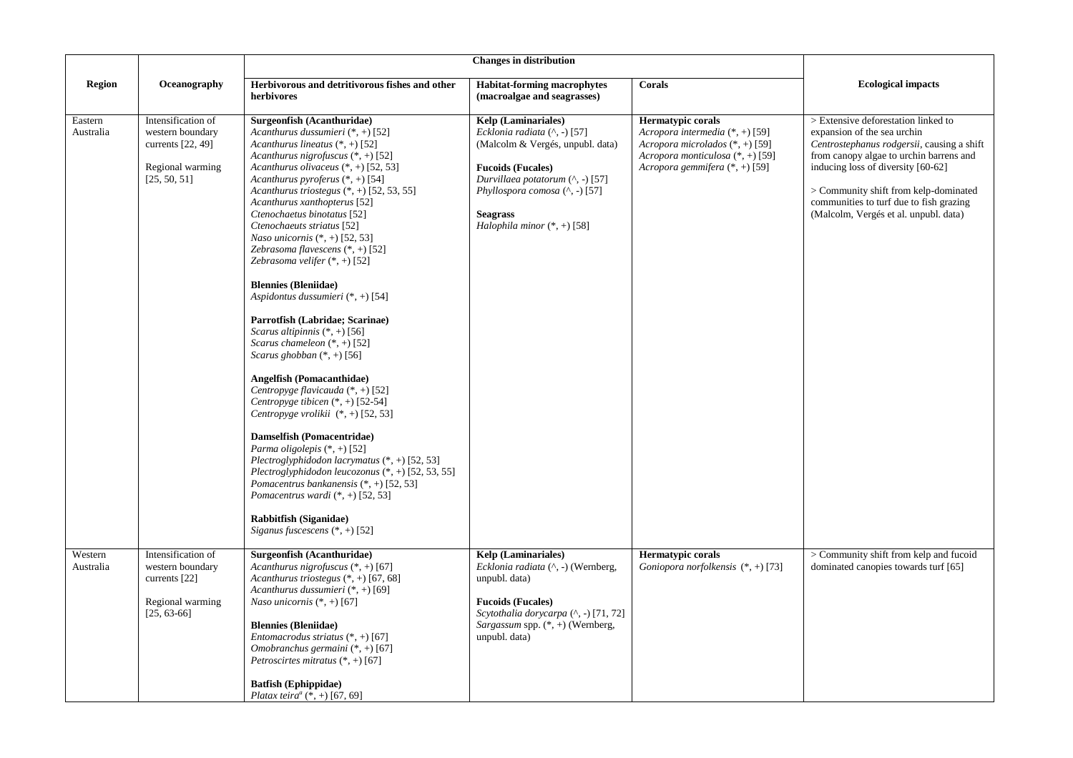|                      |                                                                                                 | <b>Changes in distribution</b>                                                                                                                                                                                                                                                                                                                                                                                                                                                                                                                                                                                                                                                                                                                                                                                                                                                                                                                                                                                                                                                                                                                                                                           |                                                                                                                                                                                                                                                                  |                                                                                                                                                                          |                                                                                                                                                                                                                                                                                                                                |
|----------------------|-------------------------------------------------------------------------------------------------|----------------------------------------------------------------------------------------------------------------------------------------------------------------------------------------------------------------------------------------------------------------------------------------------------------------------------------------------------------------------------------------------------------------------------------------------------------------------------------------------------------------------------------------------------------------------------------------------------------------------------------------------------------------------------------------------------------------------------------------------------------------------------------------------------------------------------------------------------------------------------------------------------------------------------------------------------------------------------------------------------------------------------------------------------------------------------------------------------------------------------------------------------------------------------------------------------------|------------------------------------------------------------------------------------------------------------------------------------------------------------------------------------------------------------------------------------------------------------------|--------------------------------------------------------------------------------------------------------------------------------------------------------------------------|--------------------------------------------------------------------------------------------------------------------------------------------------------------------------------------------------------------------------------------------------------------------------------------------------------------------------------|
| <b>Region</b>        | Oceanography                                                                                    | Herbivorous and detritivorous fishes and other<br>herbivores                                                                                                                                                                                                                                                                                                                                                                                                                                                                                                                                                                                                                                                                                                                                                                                                                                                                                                                                                                                                                                                                                                                                             | <b>Habitat-forming macrophytes</b><br>(macroalgae and seagrasses)                                                                                                                                                                                                | Corals                                                                                                                                                                   | <b>Ecological impacts</b>                                                                                                                                                                                                                                                                                                      |
| Eastern<br>Australia | Intensification of<br>western boundary<br>currents [22, 49]<br>Regional warming<br>[25, 50, 51] | Surgeonfish (Acanthuridae)<br>Acanthurus dussumieri $(*, +)$ [52]<br>Acanthurus lineatus $(*, +)$ [52]<br>Acanthurus nigrofuscus $(*, +)$ [52]<br>Acanthurus olivaceus $(*, +)$ [52, 53]<br>Acanthurus pyroferus $(*, +)$ [54]<br>Acanthurus triostegus $(*, +)$ [52, 53, 55]<br>Acanthurus xanthopterus [52]<br>Ctenochaetus binotatus [52]<br>Ctenochaeuts striatus [52]<br><i>Naso unicornis</i> $(*, +)$ [52, 53]<br>Zebrasoma flavescens $(*, +)$ [52]<br>Zebrasoma velifer $(*, +)$ [52]<br><b>Blennies (Bleniidae)</b><br>Aspidontus dussumieri $(*, +)$ [54]<br>Parrotfish (Labridae; Scarinae)<br><i>Scarus altipinnis</i> $(*, +)$ [56]<br>Scarus chameleon $(*, +)$ [52]<br>Scarus ghobban $(*, +)$ [56]<br><b>Angelfish (Pomacanthidae)</b><br>Centropyge flavicauda $(*, +)$ [52]<br>Centropyge tibicen $(*, +)$ [52-54]<br>Centropyge vrolikii $(*, +)$ [52, 53]<br>Damselfish (Pomacentridae)<br>Parma oligolepis $(*, +)$ [52]<br>Plectroglyphidodon lacrymatus $(*, +)$ [52, 53]<br>Plectroglyphidodon leucozonus $(*, +)$ [52, 53, 55]<br>Pomacentrus bankanensis $(*, +)$ [52, 53]<br>Pomacentrus wardi (*, +) [52, 53]<br>Rabbitfish (Siganidae)<br>Siganus fuscescens $(*, +)$ [52] | <b>Kelp</b> (Laminariales)<br>Ecklonia radiata $( \wedge, - )$ [57]<br>(Malcolm & Vergés, unpubl. data)<br><b>Fucoids (Fucales)</b><br>Durvillaea potatorum $($ ^, -) [57]<br>Phyllospora comosa (^, -) [57]<br><b>Seagrass</b><br>Halophila minor $(*, +)$ [58] | <b>Hermatypic corals</b><br>Acropora intermedia $(*, +)$ [59]<br>Acropora microlados $(*, +)$ [59]<br>Acropora monticulosa (*, +) [59]<br>Acropora gemmifera (*, +) [59] | > Extensive deforestation linked to<br>expansion of the sea urchin<br>Centrostephanus rodgersii, causing a shift<br>from canopy algae to urchin barrens and<br>inducing loss of diversity [60-62]<br>> Community shift from kelp-dominated<br>communities to turf due to fish grazing<br>(Malcolm, Vergés et al. unpubl. data) |
| Western<br>Australia | Intensification of<br>western boundary<br>currents [22]<br>Regional warming<br>$[25, 63-66]$    | Surgeonfish (Acanthuridae)<br>Acanthurus nigrofuscus $(*, +)$ [67]<br>Acanthurus triostegus $(*, +)$ [67, 68]<br>Acanthurus dussumieri $(*, +)$ [69]<br>Naso unicornis $(*, +)$ [67]<br><b>Blennies (Bleniidae)</b><br>Entomacrodus striatus $(*, +)$ [67]<br>Omobranchus germaini $(*, +)$ [67]<br><i>Petroscirtes mitratus</i> $(*, +)$ [67]<br><b>Batfish</b> (Ephippidae)<br>Platax teira <sup>a</sup> (*, +) [67, 69]                                                                                                                                                                                                                                                                                                                                                                                                                                                                                                                                                                                                                                                                                                                                                                               | <b>Kelp</b> (Laminariales)<br>Ecklonia radiata (^, -) (Wernberg,<br>unpubl. data)<br><b>Fucoids (Fucales)</b><br>Scytothalia dorycarpa (^, -) [71, 72]<br>Sargassum spp. $(*, +)$ (Wernberg,<br>unpubl. data)                                                    | <b>Hermatypic corals</b><br>Goniopora norfolkensis $(*, +)$ [73]                                                                                                         | > Community shift from kelp and fucoid<br>dominated canopies towards turf [65]                                                                                                                                                                                                                                                 |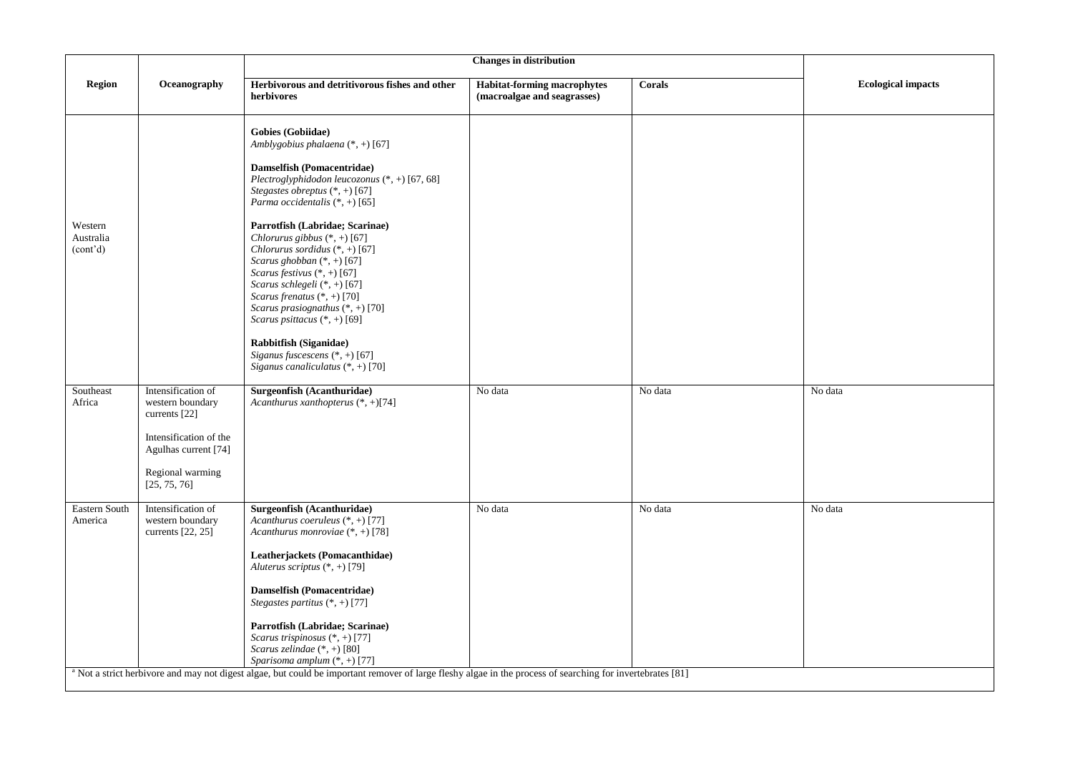| <b>Region</b><br>Oceanography<br>Herbivorous and detritivorous fishes and other<br><b>Habitat-forming macrophytes</b><br>Corals<br><b>Ecological impacts</b><br>(macroalgae and seagrasses)<br>herbivores<br><b>Gobies</b> (Gobiidae)<br>Amblygobius phalaena $(*, +)$ [67]<br>Damselfish (Pomacentridae)<br>Plectroglyphidodon leucozonus (*, +) [67, 68]<br>Stegastes obreptus $(*, +)$ [67]<br>Parma occidentalis (*, +) [65]<br>Western<br>Parrotfish (Labridae; Scarinae)<br>Chlorurus gibbus (*, +) [67]<br>Australia<br>Chlorurus sordidus $(*, +)$ [67]<br>(cont <sup>2</sup> d)<br>Scarus ghobban $(*, +)$ [67]<br>Scarus festivus $(*, +)$ [67]<br>Scarus schlegeli (*, +) [67]<br>Scarus frenatus $(*, +)$ [70]<br>Scarus prasiognathus (*, +) [70]<br>Scarus psittacus (*, +) [69]<br>Rabbitfish (Siganidae)<br>Siganus fuscescens (*, +) [67]<br>Siganus canaliculatus $(*, +)$ [70]<br>Southeast<br>Intensification of<br>No data<br>No data<br>No data<br>Surgeonfish (Acanthuridae)<br>Acanthurus xanthopterus (*, +)[74]<br>Africa<br>western boundary<br>currents [22]<br>Intensification of the<br>Agulhas current [74]<br>Regional warming<br>[25, 75, 76]<br>Intensification of<br>Surgeonfish (Acanthuridae)<br>No data<br>Eastern South<br>No data<br>No data<br>America<br>western boundary<br>Acanthurus coeruleus $(*, +)$ [77]<br>currents $[22, 25]$<br>Acanthurus monroviae $(*, +)$ [78]<br>Leatherjackets (Pomacanthidae)<br>Aluterus scriptus $(*, +)$ [79]<br>Damselfish (Pomacentridae)<br>Stegastes partitus $(*, +)$ [77] |  |  |  |  |
|---------------------------------------------------------------------------------------------------------------------------------------------------------------------------------------------------------------------------------------------------------------------------------------------------------------------------------------------------------------------------------------------------------------------------------------------------------------------------------------------------------------------------------------------------------------------------------------------------------------------------------------------------------------------------------------------------------------------------------------------------------------------------------------------------------------------------------------------------------------------------------------------------------------------------------------------------------------------------------------------------------------------------------------------------------------------------------------------------------------------------------------------------------------------------------------------------------------------------------------------------------------------------------------------------------------------------------------------------------------------------------------------------------------------------------------------------------------------------------------------------------------------------------------------------------------|--|--|--|--|
|                                                                                                                                                                                                                                                                                                                                                                                                                                                                                                                                                                                                                                                                                                                                                                                                                                                                                                                                                                                                                                                                                                                                                                                                                                                                                                                                                                                                                                                                                                                                                               |  |  |  |  |
|                                                                                                                                                                                                                                                                                                                                                                                                                                                                                                                                                                                                                                                                                                                                                                                                                                                                                                                                                                                                                                                                                                                                                                                                                                                                                                                                                                                                                                                                                                                                                               |  |  |  |  |
|                                                                                                                                                                                                                                                                                                                                                                                                                                                                                                                                                                                                                                                                                                                                                                                                                                                                                                                                                                                                                                                                                                                                                                                                                                                                                                                                                                                                                                                                                                                                                               |  |  |  |  |
| Parrotfish (Labridae; Scarinae)<br>Scarus trispinosus (*, +) [77]<br>Scarus zelindae $(*, +)$ [80]<br>Sparisoma amplum (*, +) [77]<br><sup>a</sup> Not a strict herbivore and may not digest algae, but could be important remover of large fleshy algae in the process of searching for invertebrates [81]                                                                                                                                                                                                                                                                                                                                                                                                                                                                                                                                                                                                                                                                                                                                                                                                                                                                                                                                                                                                                                                                                                                                                                                                                                                   |  |  |  |  |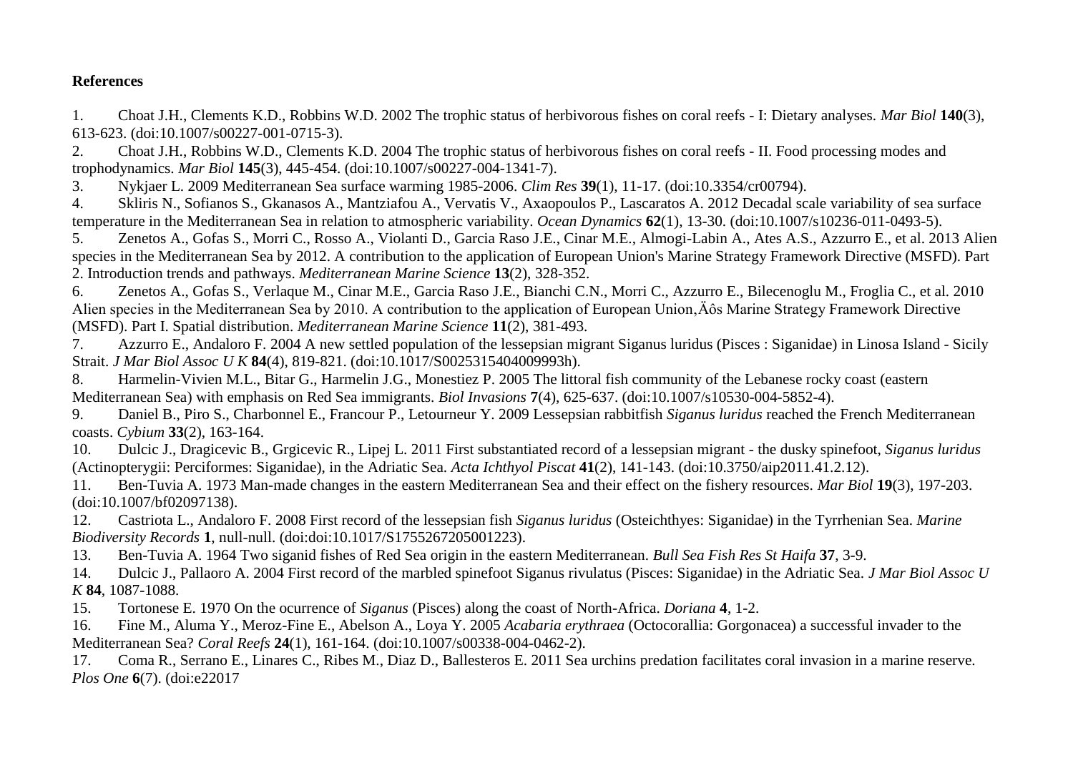## **References**

<span id="page-4-0"></span>1. Choat J.H., Clements K.D., Robbins W.D. 2002 The trophic status of herbivorous fishes on coral reefs - I: Dietary analyses. *Mar Biol* **140**(3), 613-623. (doi:10.1007/s00227-001-0715-3).

<span id="page-4-1"></span>2. Choat J.H., Robbins W.D., Clements K.D. 2004 The trophic status of herbivorous fishes on coral reefs - II. Food processing modes and trophodynamics. *Mar Biol* **145**(3), 445-454. (doi:10.1007/s00227-004-1341-7).

<span id="page-4-2"></span>3. Nykjaer L. 2009 Mediterranean Sea surface warming 1985-2006. *Clim Res* **39**(1), 11-17. (doi:10.3354/cr00794).

<span id="page-4-3"></span>4. Skliris N., Sofianos S., Gkanasos A., Mantziafou A., Vervatis V., Axaopoulos P., Lascaratos A. 2012 Decadal scale variability of sea surface temperature in the Mediterranean Sea in relation to atmospheric variability. *Ocean Dynamics* **62**(1), 13-30. (doi:10.1007/s10236-011-0493-5).

<span id="page-4-4"></span>5. Zenetos A., Gofas S., Morri C., Rosso A., Violanti D., Garcia Raso J.E., Cinar M.E., Almogi-Labin A., Ates A.S., Azzurro E., et al. 2013 Alien species in the Mediterranean Sea by 2012. A contribution to the application of European Union's Marine Strategy Framework Directive (MSFD). Part 2. Introduction trends and pathways. *Mediterranean Marine Science* **13**(2), 328-352.

<span id="page-4-8"></span>6. Zenetos A., Gofas S., Verlaque M., Cinar M.E., Garcia Raso J.E., Bianchi C.N., Morri C., Azzurro E., Bilecenoglu M., Froglia C., et al. 2010 Alien species in the Mediterranean Sea by 2010. A contribution to the application of European Union, A<sub>ôS</sub> Marine Strategy Framework Directive (MSFD). Part I. Spatial distribution. *Mediterranean Marine Science* **11**(2), 381-493.

7. Azzurro E., Andaloro F. 2004 A new settled population of the lessepsian migrant Siganus luridus (Pisces : Siganidae) in Linosa Island - Sicily Strait. *J Mar Biol Assoc U K* **84**(4), 819-821. (doi:10.1017/S0025315404009993h).

<span id="page-4-5"></span>8. Harmelin-Vivien M.L., Bitar G., Harmelin J.G., Monestiez P. 2005 The littoral fish community of the Lebanese rocky coast (eastern Mediterranean Sea) with emphasis on Red Sea immigrants. *Biol Invasions* **7**(4), 625-637. (doi:10.1007/s10530-004-5852-4).

9. Daniel B., Piro S., Charbonnel E., Francour P., Letourneur Y. 2009 Lessepsian rabbitfish *Siganus luridus* reached the French Mediterranean coasts. *Cybium* **33**(2), 163-164.

10. Dulcic J., Dragicevic B., Grgicevic R., Lipej L. 2011 First substantiated record of a lessepsian migrant - the dusky spinefoot, *Siganus luridus* (Actinopterygii: Perciformes: Siganidae), in the Adriatic Sea. *Acta Ichthyol Piscat* **41**(2), 141-143. (doi:10.3750/aip2011.41.2.12).

<span id="page-4-6"></span>11. Ben-Tuvia A. 1973 Man-made changes in the eastern Mediterranean Sea and their effect on the fishery resources. *Mar Biol* **19**(3), 197-203. (doi:10.1007/bf02097138).

12. Castriota L., Andaloro F. 2008 First record of the lessepsian fish *Siganus luridus* (Osteichthyes: Siganidae) in the Tyrrhenian Sea. *Marine Biodiversity Records* **1**, null-null. (doi:doi:10.1017/S1755267205001223).

<span id="page-4-7"></span>13. Ben-Tuvia A. 1964 Two siganid fishes of Red Sea origin in the eastern Mediterranean. *Bull Sea Fish Res St Haifa* **37**, 3-9.

14. Dulcic J., Pallaoro A. 2004 First record of the marbled spinefoot Siganus rivulatus (Pisces: Siganidae) in the Adriatic Sea. *J Mar Biol Assoc U K* **84**, 1087-1088.

15. Tortonese E. 1970 On the ocurrence of *Siganus* (Pisces) along the coast of North-Africa. *Doriana* **4**, 1-2.

<span id="page-4-9"></span>16. Fine M., Aluma Y., Meroz-Fine E., Abelson A., Loya Y. 2005 *Acabaria erythraea* (Octocorallia: Gorgonacea) a successful invader to the Mediterranean Sea? *Coral Reefs* **24**(1), 161-164. (doi:10.1007/s00338-004-0462-2).

<span id="page-4-10"></span>17. Coma R., Serrano E., Linares C., Ribes M., Diaz D., Ballesteros E. 2011 Sea urchins predation facilitates coral invasion in a marine reserve. *Plos One* **6**(7). (doi:e22017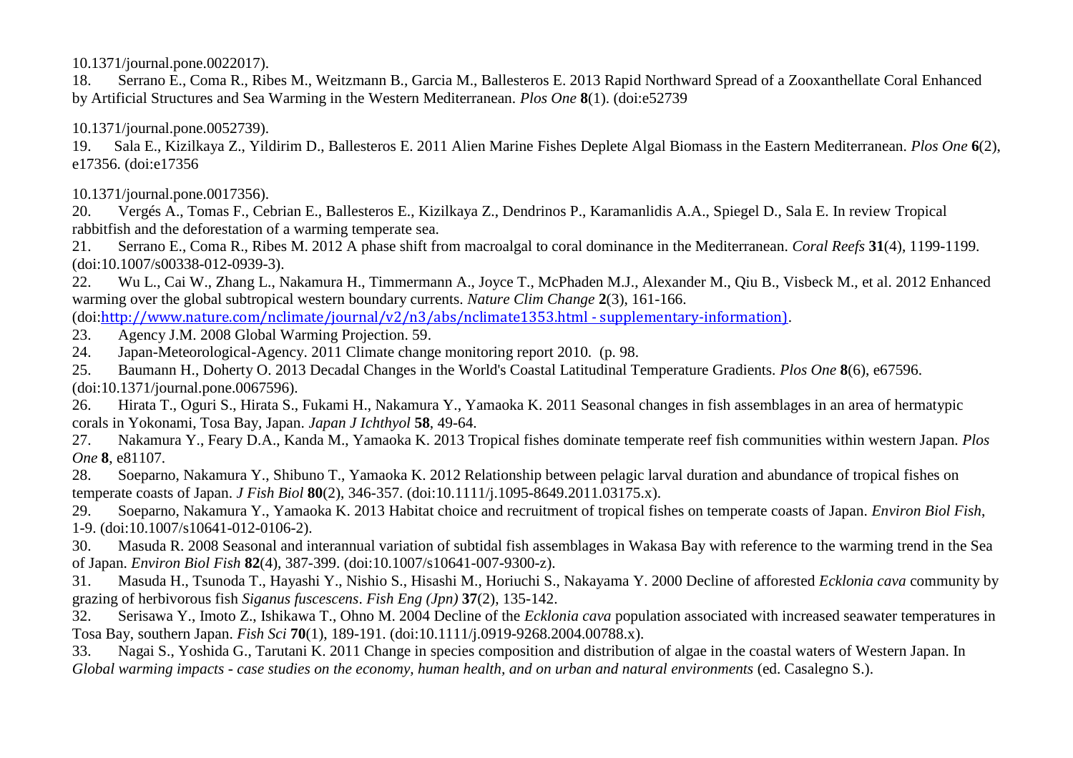10.1371/journal.pone.0022017).

<span id="page-5-0"></span>18. Serrano E., Coma R., Ribes M., Weitzmann B., Garcia M., Ballesteros E. 2013 Rapid Northward Spread of a Zooxanthellate Coral Enhanced by Artificial Structures and Sea Warming in the Western Mediterranean. *Plos One* **8**(1). (doi:e52739

10.1371/journal.pone.0052739).

<span id="page-5-1"></span>19. Sala E., Kizilkaya Z., Yildirim D., Ballesteros E. 2011 Alien Marine Fishes Deplete Algal Biomass in the Eastern Mediterranean. *Plos One* **6**(2), e17356. (doi:e17356

10.1371/journal.pone.0017356).

<span id="page-5-2"></span>20. Vergés A., Tomas F., Cebrian E., Ballesteros E., Kizilkaya Z., Dendrinos P., Karamanlidis A.A., Spiegel D., Sala E. In review Tropical rabbitfish and the deforestation of a warming temperate sea.

<span id="page-5-3"></span>21. Serrano E., Coma R., Ribes M. 2012 A phase shift from macroalgal to coral dominance in the Mediterranean. *Coral Reefs* **31**(4), 1199-1199. (doi:10.1007/s00338-012-0939-3).

<span id="page-5-4"></span>22. Wu L., Cai W., Zhang L., Nakamura H., Timmermann A., Joyce T., McPhaden M.J., Alexander M., Qiu B., Visbeck M., et al. 2012 Enhanced warming over the global subtropical western boundary currents. *Nature Clim Change* **2**(3), 161-166.

(doi:[http://www.nature.com/nclimate/journal/v2/n3/abs/nclimate1353.html -](http://www.nature.com/nclimate/journal/v2/n3/abs/nclimate1353.html#supplementary-information)) supplementary-information).

- <span id="page-5-5"></span>23. Agency J.M. 2008 Global Warming Projection. 59.
- 24. Japan-Meteorological-Agency. 2011 Climate change monitoring report 2010. (p. 98.

<span id="page-5-14"></span>25. Baumann H., Doherty O. 2013 Decadal Changes in the World's Coastal Latitudinal Temperature Gradients. *Plos One* **8**(6), e67596. (doi:10.1371/journal.pone.0067596).

<span id="page-5-6"></span>26. Hirata T., Oguri S., Hirata S., Fukami H., Nakamura Y., Yamaoka K. 2011 Seasonal changes in fish assemblages in an area of hermatypic corals in Yokonami, Tosa Bay, Japan. *Japan J Ichthyol* **58**, 49-64.

<span id="page-5-7"></span>27. Nakamura Y., Feary D.A., Kanda M., Yamaoka K. 2013 Tropical fishes dominate temperate reef fish communities within western Japan. *Plos One* **8**, e81107.

<span id="page-5-12"></span>28. Soeparno, Nakamura Y., Shibuno T., Yamaoka K. 2012 Relationship between pelagic larval duration and abundance of tropical fishes on temperate coasts of Japan. *J Fish Biol* **80**(2), 346-357. (doi:10.1111/j.1095-8649.2011.03175.x).

<span id="page-5-8"></span>29. Soeparno, Nakamura Y., Yamaoka K. 2013 Habitat choice and recruitment of tropical fishes on temperate coasts of Japan. *Environ Biol Fish*, 1-9. (doi:10.1007/s10641-012-0106-2).

<span id="page-5-13"></span>30. Masuda R. 2008 Seasonal and interannual variation of subtidal fish assemblages in Wakasa Bay with reference to the warming trend in the Sea of Japan. *Environ Biol Fish* **82**(4), 387-399. (doi:10.1007/s10641-007-9300-z).

<span id="page-5-9"></span>31. Masuda H., Tsunoda T., Hayashi Y., Nishio S., Hisashi M., Horiuchi S., Nakayama Y. 2000 Decline of afforested *Ecklonia cava* community by grazing of herbivorous fish *Siganus fuscescens*. *Fish Eng (Jpn)* **37**(2), 135-142.

<span id="page-5-11"></span>32. Serisawa Y., Imoto Z., Ishikawa T., Ohno M. 2004 Decline of the *Ecklonia cava* population associated with increased seawater temperatures in Tosa Bay, southern Japan. *Fish Sci* **70**(1), 189-191. (doi:10.1111/j.0919-9268.2004.00788.x).

<span id="page-5-10"></span>33. Nagai S., Yoshida G., Tarutani K. 2011 Change in species composition and distribution of algae in the coastal waters of Western Japan. In *Global warming impacts - case studies on the economy, human health, and on urban and natural environments* (ed. Casalegno S.).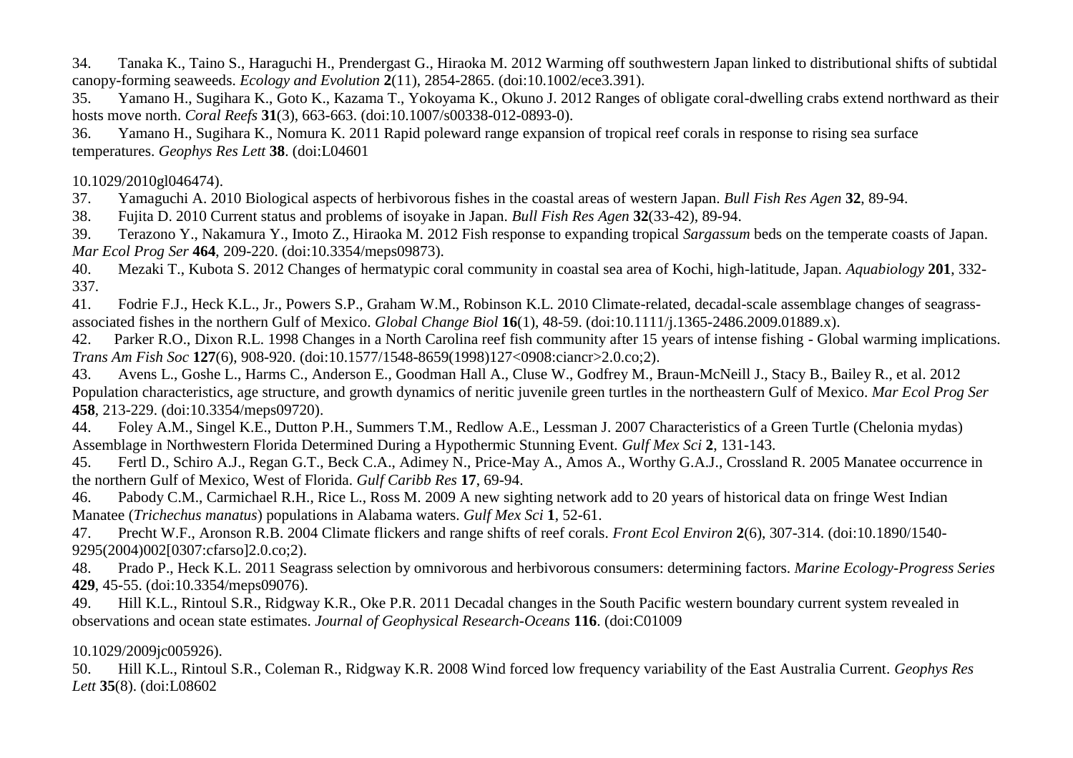<span id="page-6-0"></span>34. Tanaka K., Taino S., Haraguchi H., Prendergast G., Hiraoka M. 2012 Warming off southwestern Japan linked to distributional shifts of subtidal canopy-forming seaweeds. *Ecology and Evolution* **2**(11), 2854-2865. (doi:10.1002/ece3.391).

<span id="page-6-1"></span>35. Yamano H., Sugihara K., Goto K., Kazama T., Yokoyama K., Okuno J. 2012 Ranges of obligate coral-dwelling crabs extend northward as their hosts move north. *Coral Reefs* **31**(3), 663-663. (doi:10.1007/s00338-012-0893-0).

<span id="page-6-2"></span>36. Yamano H., Sugihara K., Nomura K. 2011 Rapid poleward range expansion of tropical reef corals in response to rising sea surface temperatures. *Geophys Res Lett* **38**. (doi:L04601

## 10.1029/2010gl046474).

<span id="page-6-3"></span>37. Yamaguchi A. 2010 Biological aspects of herbivorous fishes in the coastal areas of western Japan. *Bull Fish Res Agen* **32**, 89-94.

<span id="page-6-4"></span>38. Fujita D. 2010 Current status and problems of isoyake in Japan. *Bull Fish Res Agen* **32**(33-42), 89-94.

<span id="page-6-5"></span>39. Terazono Y., Nakamura Y., Imoto Z., Hiraoka M. 2012 Fish response to expanding tropical *Sargassum* beds on the temperate coasts of Japan. *Mar Ecol Prog Ser* **464**, 209-220. (doi:10.3354/meps09873).

<span id="page-6-6"></span>40. Mezaki T., Kubota S. 2012 Changes of hermatypic coral community in coastal sea area of Kochi, high-latitude, Japan. *Aquabiology* **201**, 332- 337.

<span id="page-6-7"></span>41. Fodrie F.J., Heck K.L., Jr., Powers S.P., Graham W.M., Robinson K.L. 2010 Climate-related, decadal-scale assemblage changes of seagrassassociated fishes in the northern Gulf of Mexico. *Global Change Biol* **16**(1), 48-59. (doi:10.1111/j.1365-2486.2009.01889.x).

<span id="page-6-8"></span>42. Parker R.O., Dixon R.L. 1998 Changes in a North Carolina reef fish community after 15 years of intense fishing - Global warming implications. *Trans Am Fish Soc* **127**(6), 908-920. (doi:10.1577/1548-8659(1998)127<0908:ciancr>2.0.co;2).

<span id="page-6-9"></span>43. Avens L., Goshe L., Harms C., Anderson E., Goodman Hall A., Cluse W., Godfrey M., Braun-McNeill J., Stacy B., Bailey R., et al. 2012 Population characteristics, age structure, and growth dynamics of neritic juvenile green turtles in the northeastern Gulf of Mexico. *Mar Ecol Prog Ser* **458**, 213-229. (doi:10.3354/meps09720).

<span id="page-6-10"></span>44. Foley A.M., Singel K.E., Dutton P.H., Summers T.M., Redlow A.E., Lessman J. 2007 Characteristics of a Green Turtle (Chelonia mydas) Assemblage in Northwestern Florida Determined During a Hypothermic Stunning Event. *Gulf Mex Sci* **2**, 131-143.

<span id="page-6-11"></span>45. Fertl D., Schiro A.J., Regan G.T., Beck C.A., Adimey N., Price-May A., Amos A., Worthy G.A.J., Crossland R. 2005 Manatee occurrence in the northern Gulf of Mexico, West of Florida. *Gulf Caribb Res* **17**, 69-94.

<span id="page-6-12"></span>46. Pabody C.M., Carmichael R.H., Rice L., Ross M. 2009 A new sighting network add to 20 years of historical data on fringe West Indian Manatee (*Trichechus manatus*) populations in Alabama waters. *Gulf Mex Sci* **1**, 52-61.

<span id="page-6-13"></span>47. Precht W.F., Aronson R.B. 2004 Climate flickers and range shifts of reef corals. *Front Ecol Environ* **2**(6), 307-314. (doi:10.1890/1540- 9295(2004)002[0307:cfarso]2.0.co;2).

<span id="page-6-14"></span>48. Prado P., Heck K.L. 2011 Seagrass selection by omnivorous and herbivorous consumers: determining factors. *Marine Ecology-Progress Series* **429**, 45-55. (doi:10.3354/meps09076).

<span id="page-6-15"></span>49. Hill K.L., Rintoul S.R., Ridgway K.R., Oke P.R. 2011 Decadal changes in the South Pacific western boundary current system revealed in observations and ocean state estimates. *Journal of Geophysical Research-Oceans* **116**. (doi:C01009

## 10.1029/2009jc005926).

<span id="page-6-16"></span>50. Hill K.L., Rintoul S.R., Coleman R., Ridgway K.R. 2008 Wind forced low frequency variability of the East Australia Current. *Geophys Res Lett* **35**(8). (doi:L08602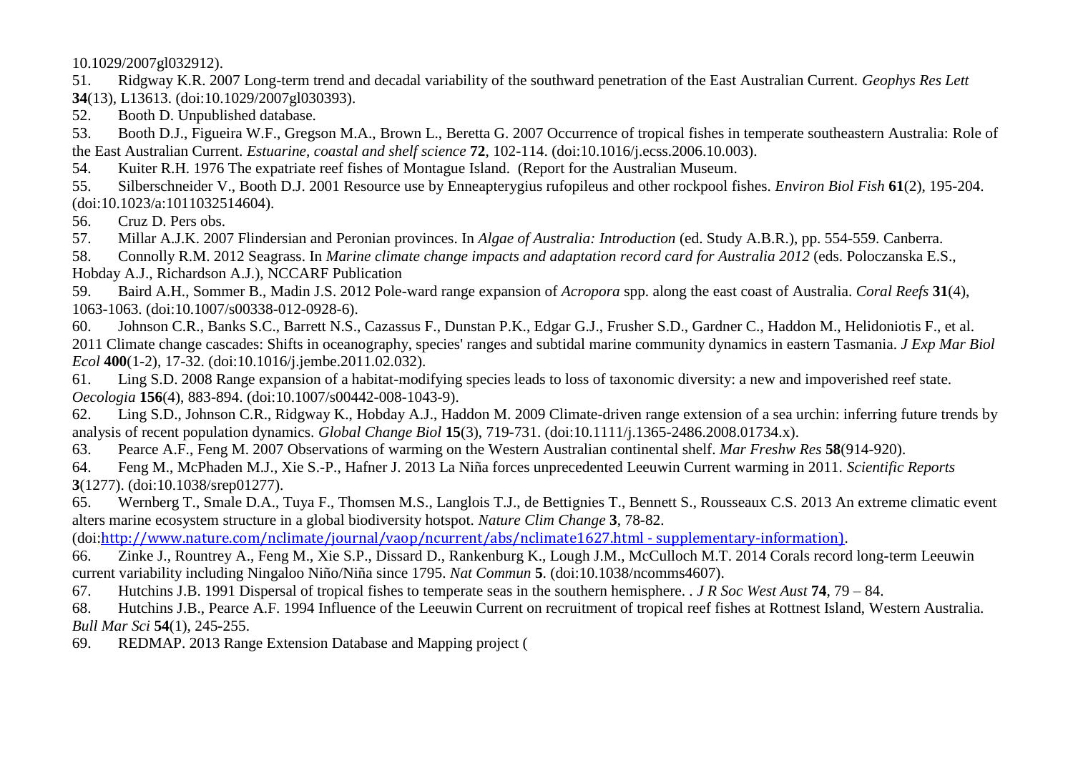10.1029/2007gl032912).

<span id="page-7-0"></span>51. Ridgway K.R. 2007 Long-term trend and decadal variability of the southward penetration of the East Australian Current. *Geophys Res Lett* **34**(13), L13613. (doi:10.1029/2007gl030393).

<span id="page-7-1"></span>52. Booth D. Unpublished database.

<span id="page-7-2"></span>53. Booth D.J., Figueira W.F., Gregson M.A., Brown L., Beretta G. 2007 Occurrence of tropical fishes in temperate southeastern Australia: Role of the East Australian Current. *Estuarine, coastal and shelf science* **72**, 102-114. (doi:10.1016/j.ecss.2006.10.003).

<span id="page-7-3"></span>54. Kuiter R.H. 1976 The expatriate reef fishes of Montague Island. (Report for the Australian Museum.

<span id="page-7-4"></span>55. Silberschneider V., Booth D.J. 2001 Resource use by Enneapterygius rufopileus and other rockpool fishes. *Environ Biol Fish* **61**(2), 195-204. (doi:10.1023/a:1011032514604).

<span id="page-7-5"></span>56. Cruz D. Pers obs.

<span id="page-7-6"></span>57. Millar A.J.K. 2007 Flindersian and Peronian provinces. In *Algae of Australia: Introduction* (ed. Study A.B.R.), pp. 554-559. Canberra.

<span id="page-7-7"></span>58. Connolly R.M. 2012 Seagrass. In *Marine climate change impacts and adaptation record card for Australia 2012* (eds. Poloczanska E.S., Hobday A.J., Richardson A.J.), NCCARF Publication

<span id="page-7-8"></span>59. Baird A.H., Sommer B., Madin J.S. 2012 Pole-ward range expansion of *Acropora* spp. along the east coast of Australia. *Coral Reefs* **31**(4), 1063-1063. (doi:10.1007/s00338-012-0928-6).

<span id="page-7-9"></span>60. Johnson C.R., Banks S.C., Barrett N.S., Cazassus F., Dunstan P.K., Edgar G.J., Frusher S.D., Gardner C., Haddon M., Helidoniotis F., et al. 2011 Climate change cascades: Shifts in oceanography, species' ranges and subtidal marine community dynamics in eastern Tasmania. *J Exp Mar Biol Ecol* **400**(1-2), 17-32. (doi:10.1016/j.jembe.2011.02.032).

61. Ling S.D. 2008 Range expansion of a habitat-modifying species leads to loss of taxonomic diversity: a new and impoverished reef state. *Oecologia* **156**(4), 883-894. (doi:10.1007/s00442-008-1043-9).

62. Ling S.D., Johnson C.R., Ridgway K., Hobday A.J., Haddon M. 2009 Climate-driven range extension of a sea urchin: inferring future trends by analysis of recent population dynamics. *Global Change Biol* **15**(3), 719-731. (doi:10.1111/j.1365-2486.2008.01734.x).

<span id="page-7-10"></span>63. Pearce A.F., Feng M. 2007 Observations of warming on the Western Australian continental shelf. *Mar Freshw Res* **58**(914-920).

64. Feng M., McPhaden M.J., Xie S.-P., Hafner J. 2013 La Niña forces unprecedented Leeuwin Current warming in 2011. *Scientific Reports* **3**(1277). (doi:10.1038/srep01277).

<span id="page-7-14"></span>65. Wernberg T., Smale D.A., Tuya F., Thomsen M.S., Langlois T.J., de Bettignies T., Bennett S., Rousseaux C.S. 2013 An extreme climatic event alters marine ecosystem structure in a global biodiversity hotspot. *Nature Clim Change* **3**, 78-82.

(doi:[http://www.nature.com/nclimate/journal/vaop/ncurrent/abs/nclimate1627.html -](http://www.nature.com/nclimate/journal/vaop/ncurrent/abs/nclimate1627.html#supplementary-information)) supplementary-information).

66. Zinke J., Rountrey A., Feng M., Xie S.P., Dissard D., Rankenburg K., Lough J.M., McCulloch M.T. 2014 Corals record long-term Leeuwin current variability including Ningaloo Niño/Niña since 1795. *Nat Commun* **5**. (doi:10.1038/ncomms4607).

<span id="page-7-11"></span>67. Hutchins J.B. 1991 Dispersal of tropical fishes to temperate seas in the southern hemisphere. . *J R Soc West Aust* **74**, 79 – 84.

<span id="page-7-12"></span>68. Hutchins J.B., Pearce A.F. 1994 Influence of the Leeuwin Current on recruitment of tropical reef fishes at Rottnest Island, Western Australia. *Bull Mar Sci* **54**(1), 245-255.

<span id="page-7-13"></span>69. REDMAP. 2013 Range Extension Database and Mapping project (